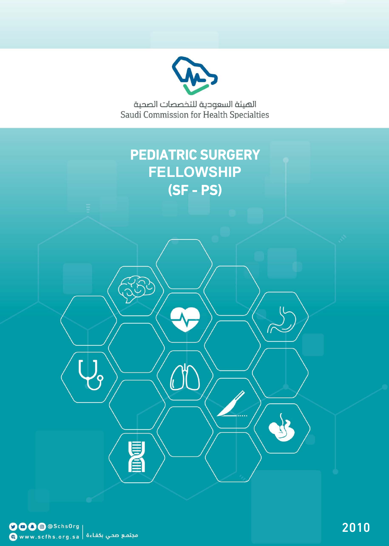

الهيئة السعودية للتخصصات الصحية<br>Saudi Commission for Health Specialties

# PEDIATRIC SURGERY **FELLOWSHIP**  $(SF - PS)$

(l

E

 $\bigcup_{i=1}^n$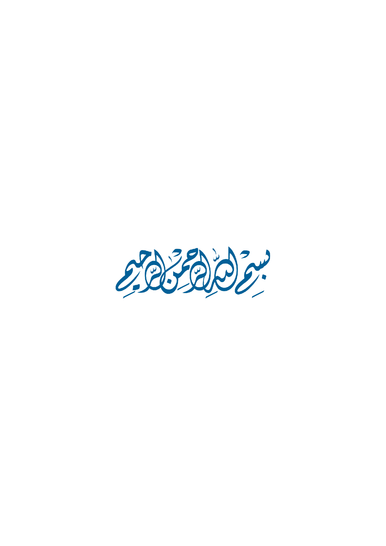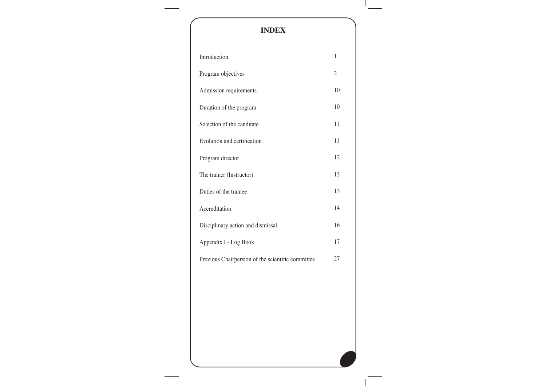## **INDEX** Introduction Program objectives Admission requirements Duration of the program Selection of the canditate Evolution and certification Program director The trainer (Instructor) Duties of the trainee Accreditation Disciplinary action and dismissal Appendix I - Log Book Previous Chairpersion of the scientific committee 1 2 10 10 11 11 12 13 13 14 16 17 27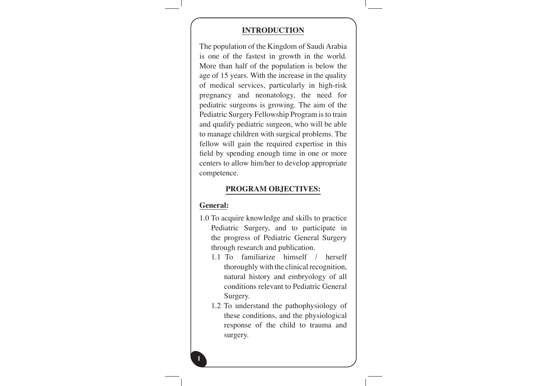#### **INTRODUCTION**

The population of the Kingdom of Saudi Arabia is one of the fastest in growth in the world. More than half of the population is below the age of 15 years. With the increase in the quality of medical services, particularly in high-risk pregnancy and neonatology, the need for pediatric surgeons is growing. The aim of the Pediatric Surgery Fellowship Program is to train and qualify pediatric surgeon, who will be able to manage children with surgical problems. The fellow will gain the required expertise in this field by spending enough time in one or more centers to allow him/her to develop appropriate .competence

#### **PROGRAM OBJECTIVES:**

#### **:General**

- 1.0 To acquire knowledge and skills to practice Pediatric Surgery, and to participate in the progress of Pediatric General Surgery through research and publication.
	- 1.1 To familiarize himself  $/$  herself thoroughly with the clinical recognition. natural history and embryology of all conditions relevant to Pediatric General Surgery.
	- 1.2 To understand the pathophysiology of these conditions, and the physiological response of the child to trauma and surgery.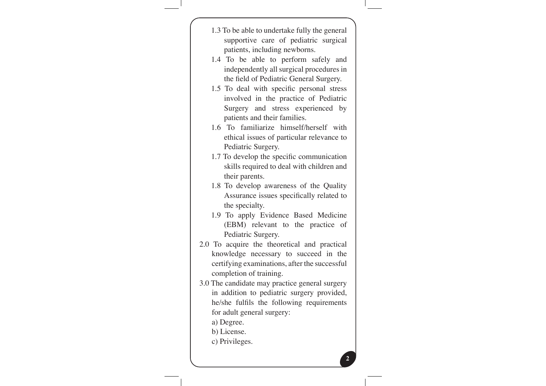| 1.3 To be able to undertake fully the general                            |  |
|--------------------------------------------------------------------------|--|
| supportive care of pediatric surgical                                    |  |
| patients, including newborns.                                            |  |
| 1.4 To be able to perform safely and                                     |  |
| independently all surgical procedures in                                 |  |
| the field of Pediatric General Surgery.                                  |  |
| 1.5 To deal with specific personal stress                                |  |
| involved in the practice of Pediatric                                    |  |
| Surgery and stress experienced by                                        |  |
| patients and their families.                                             |  |
| 1.6 To familiarize himself/herself with                                  |  |
| ethical issues of particular relevance to                                |  |
| Pediatric Surgery.                                                       |  |
| 1.7 To develop the specific communication                                |  |
| skills required to deal with children and                                |  |
| their parents.                                                           |  |
| 1.8 To develop awareness of the Quality                                  |  |
| Assurance issues specifically related to                                 |  |
| the specialty.                                                           |  |
| 1.9 To apply Evidence Based Medicine                                     |  |
| (EBM) relevant to the practice of                                        |  |
| Pediatric Surgery.                                                       |  |
| 2.0 To acquire the theoretical and practical                             |  |
| knowledge necessary to succeed in the                                    |  |
| certifying examinations, after the successful<br>completion of training. |  |
| 3.0 The candidate may practice general surgery                           |  |
| in addition to pediatric surgery provided,                               |  |
| he/she fulfils the following requirements                                |  |
| for adult general surgery:                                               |  |
| a) Degree.                                                               |  |
| b) License.                                                              |  |
| c) Privileges.                                                           |  |
|                                                                          |  |
|                                                                          |  |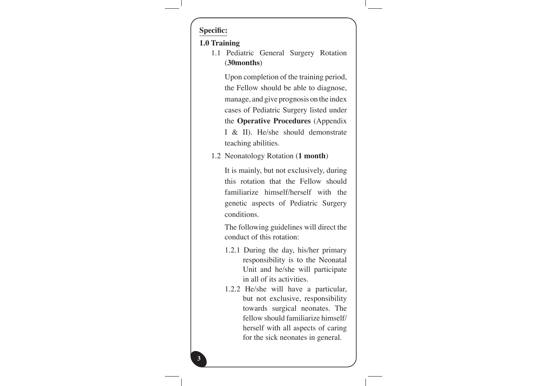## **:Specific**

**3**

#### **1.0** Training

1.1 Pediatric General Surgery Rotation (30months)

> Upon completion of the training period, the Fellow should be able to diagnose, manage, and give prognosis on the index cases of Pediatric Surgery listed under the **Operative Procedures** (Appendix I & II). He/she should demonstrate teaching abilities.

1.2 Neonatology Rotation (1 month)

It is mainly, but not exclusively, during this rotation that the Fellow should familiarize himself/herself with the genetic aspects of Pediatric Surgery .conditions

The following guidelines will direct the conduct of this rotation:

- 1.2.1 During the day, his/her primary responsibility is to the Neonatal Unit and he/she will participate in all of its activities.
- 1.2.2 He/she will have a particular, but not exclusive, responsibility towards surgical neonates. The fellow should familiarize himself/ herself with all aspects of caring for the sick neonates in general.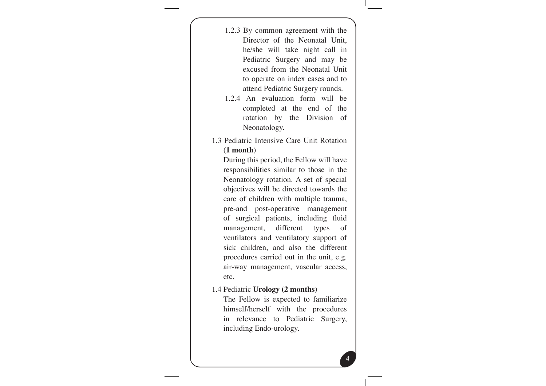1.2.3 By common agreement with the Director of the Neonatal Unit. he/she will take night call in Pediatric Surgery and may be excused from the Neonatal Unit to operate on index cases and to attend Pediatric Surgery rounds.

- 1.2.4 An evaluation form will be completed at the end of the rotation by the Division of Neonatology.
- 1.3 Pediatric Intensive Care Unit Rotation (**month 1**(

During this period, the Fellow will have responsibilities similar to those in the Neonatology rotation. A set of special objectives will be directed towards the care of children with multiple trauma, pre-and post-operative management of surgical patients, including fluid management, different types of ventilators and ventilatory support of sick children, and also the different procedures carried out in the unit, e.g. air-way management, vascular access, .etc

#### **1.4 Pediatric Urology** (2 months)

The Fellow is expected to familiarize himself/herself with the procedures in relevance to Pediatric Surgery, including Endo-urology.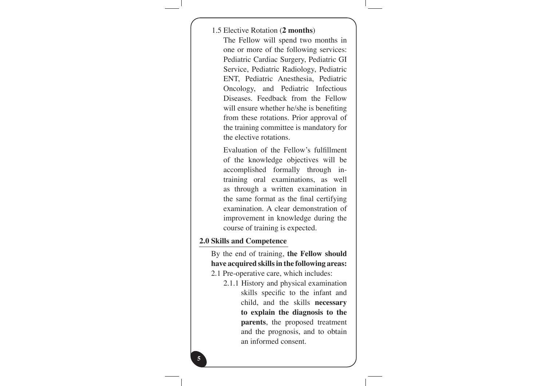1.5 Elective Rotation (2 months)

The Fellow will spend two months in one or more of the following services: Pediatric Cardiac Surgery, Pediatric GI Service, Pediatric Radiology, Pediatric ENT, Pediatric Anesthesia, Pediatric Oncology, and Pediatric Infectious Diseases. Feedback from the Fellow will ensure whether he/she is benefiting from these rotations. Prior approval of the training committee is mandatory for the elective rotations.

Evaluation of the Fellow's fulfillment of the knowledge objectives will be training oral examinations, as well accomplished formally through inas through a written examination in the same format as the final certifying examination. A clear demonstration of improvement in knowledge during the course of training is expected.

#### **2.0 Skills and Competence**

**5**

By the end of training, the Fellow should have acquired skills in the following areas: 2.1 Pre-operative care, which includes:

2.1.1 History and physical examination skills specific to the infant and child, and the skills **necessary** to explain the diagnosis to the parents, the proposed treatment and the prognosis, and to obtain an informed consent.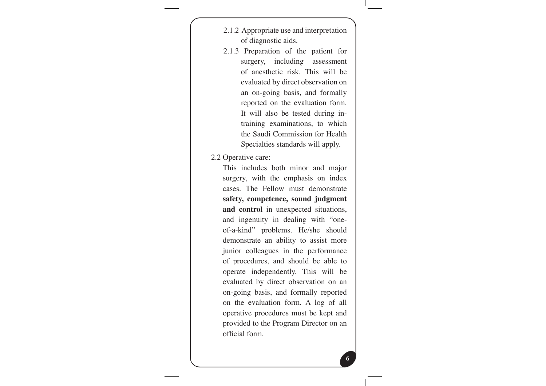- 2.1.2 Appropriate use and interpretation of diagnostic aids.
- 2.1.3 Preparation of the patient for surgery, including assessment of anesthetic risk. This will be evaluated by direct observation on an on-going basis, and formally reported on the evaluation form. training examinations, to which It will also be tested during inthe Saudi Commission for Health Specialties standards will apply.

2.2 Operative care:

This includes both minor and major surgery, with the emphasis on index cases. The Fellow must demonstrate safety, competence, sound judgment and control in unexpected situations, of-a-kind" problems. He/she should and ingenuity in dealing with "onedemonstrate an ability to assist more junior colleagues in the performance of procedures, and should be able to operate independently. This will be evaluated by direct observation on an on-going basis, and formally reported on the evaluation form. A log of all operative procedures must be kept and provided to the Program Director on an official form.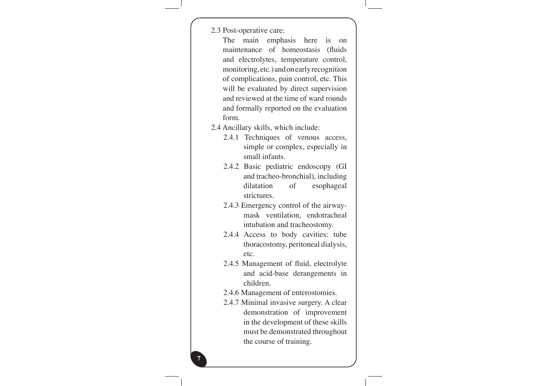|  | 2.3 Post-operative care: |  |
|--|--------------------------|--|
|--|--------------------------|--|

| <i>L.3</i> Post-operative care:               |
|-----------------------------------------------|
| The<br>main emphasis here is<br><sub>on</sub> |
| maintenance of homeostasis (fluids            |
| and electrolytes, temperature control,        |
| monitoring, etc.) and one arly recognition    |
| of complications, pain control, etc. This     |
| will be evaluated by direct supervision       |
| and reviewed at the time of ward rounds       |
| and formally reported on the evaluation       |
| form.                                         |
| 2.4 Ancillary skills, which include:          |
| 2.4.1 Techniques of venous access,            |
| simple or complex, especially in              |
| small infants.                                |
| 2.4.2 Basic pediatric endoscopy (GI           |
| and tracheo-bronchial), including             |
| dilatation<br>of<br>esophageal                |
| strictures.                                   |
| 2.4.3 Emergency control of the airway-        |
| mask ventilation, endotracheal                |
| intubation and tracheostomy.                  |
| 2.4.4 Access to body cavities: tube           |
| thoracostomy, peritoneal dialysis,            |
| etc.                                          |
| 2.4.5 Management of fluid, electrolyte        |
| and acid-base derangements in                 |
| children.                                     |
| 2.4.6 Management of enterostomies.            |
| 2.4.7 Minimal invasive surgery. A clear       |
| demonstration of improvement                  |
| in the development of these skills            |
| must be demonstrated throughout               |

the course of training.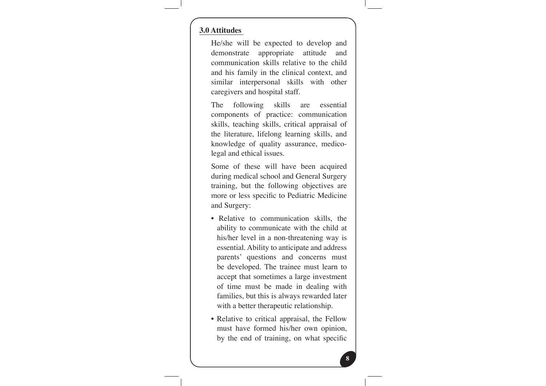#### **Attitudes 3.0**

He/she will be expected to develop and demonstrate appropriate attitude and communication skills relative to the child and his family in the clinical context, and similar interpersonal skills with other caregivers and hospital staff.

The following skills are essential components of practice: communication skills, teaching skills, critical appraisal of the literature, lifelong learning skills, and knowledge of quality assurance, medico-<br>legal-and-ethical-issues.

Some of these will have been acquired during medical school and General Surgery training, but the following objectives are more or less specific to Pediatric Medicine and Surgery:

- Relative to communication skills, the ability to communicate with the child at his/her level in a non-threatening way is essential. Ability to anticipate and address parents' questions and concerns must be developed. The trainee must learn to accept that sometimes a large investment of time must be made in dealing with families, but this is always rewarded later with a better therapeutic relationship.
- Relative to critical appraisal, the Fellow must have formed his/her own opinion, by the end of training, on what specific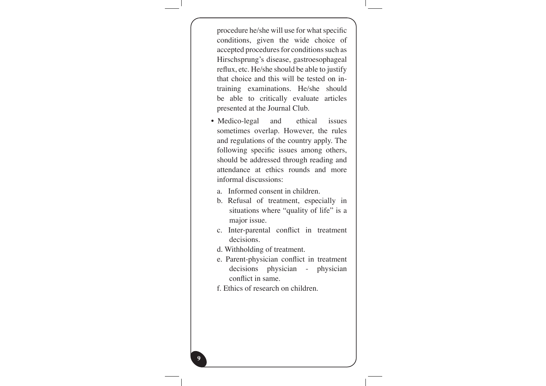procedure he/she will use for what specific conditions, given the wide choice of accepted procedures for conditions such as Hirschsprung's disease, gastroesophageal reflux, etc. He/she should be able to justify training examinations. He/she should that choice and this will be tested on inbe able to critically evaluate articles presented at the Journal Club.

- Medico-legal and ethical issues sometimes overlap. However, the rules and regulations of the country apply. The following specific issues among others, should be addressed through reading and attendance at ethics rounds and more informal discussions:
	- a. Informed consent in children.
	- b. Refusal of treatment, especially in situations where "quality of life" is a major issue.
	- c. Inter-parental conflict in treatment decisions.
	- d. Withholding of treatment.
	- e. Parent-physician-conflict in treatment decisions physician - physician conflict in same.
- f. Ethics of research on children.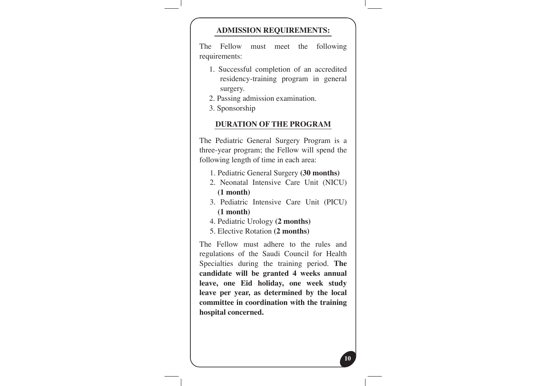#### **ADMISSION REQUIREMENTS:**

The Fellow must meet the following requirements:

- 1. Successful completion of an accredited residency-training program in general surgery.
- 2. Passing admission examination.
- 3. Sponsorship

#### **PURATION OF THE PROGRAM**

The Pediatric General Surgery Program is a three-year program; the Fellow will spend the following length of time in each area:

- 1. Pediatric General Surgery (30 months)
- 2. Neonatal Intensive Care Unit (NICU) **(1 month)**
- 3. Pediatric Intensive Care Unit (PICU) **(1 month)**
- 4. Pediatric Urology (2 **months)**
- **5. Elective Rotation (2 months)**

The Fellow must adhere to the rules and regulations of the Saudi Council for Health Specialties during the training period. The candidate will be granted 4 weeks annual leave, one Eid holiday, one week study leave per year, as determined by the local committee in coordination with the training hospital concerned.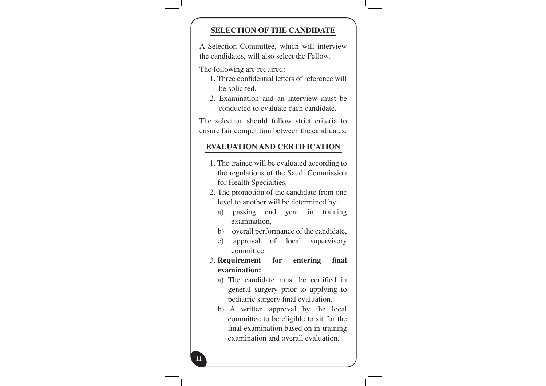#### **SELECTION OF THE CANDIDATE**

A Selection Committee, which will interview the candidates, will also select the Fellow.

The following are required:

- 1. Three confidential letters of reference will be solicited.
- 2. Examination and an interview must be conducted to evaluate each candidate.

The selection should follow strict criteria to ensure fair competition between the candidates.

#### **EVALUATION AND CERTIFICATION**

- 1. The trainee will be evaluated according to the regulations of the Saudi Commission for Health Specialties.
- 2. The promotion of the candidate from one level to another will be determined by:
	- a) passing end year in training examination,
	- b) overall performance of the candidate,
	- c) approval of local supervisory .committee
- **3. Requirement** for entering final **:examination**
	- a) The candidate must be certified in general surgery prior to applying to pediatric surgery final evaluation.
	- b) A written approval by the local committee to be eligible to sit for the final examination based on in-training examination and overall evaluation.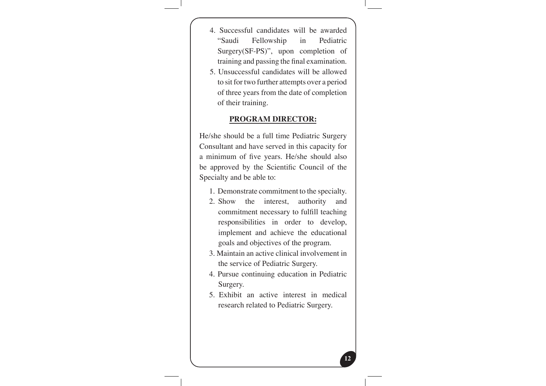- 4. Successful candidates will be awarded "Saudi Fellowship in Pediatric  $Surgery(SF-PS)$ ", upon completion of training and passing the final examination.
- 5. Unsuccessful candidates will be allowed to sit for two further attempts over a period of three years from the date of completion of their training.

#### **PROGRAM DIRECTOR:**

He/she should be a full time Pediatric Surgery Consultant and have served in this capacity for a minimum of five years. He/she should also be approved by the Scientific Council of the Specialty and be able to:

- 1. Demonstrate commitment to the specialty.
- 2. Show the interest, authority and commitment necessary to fulfill teaching responsibilities in order to develop, implement and achieve the educational goals and objectives of the program.
- 3. Maintain an active clinical involvement in the service of Pediatric Surgery.
- 4. Pursue continuing education in Pediatric Surgery.
- 5. Exhibit an active interest in medical research related to Pediatric Surgery.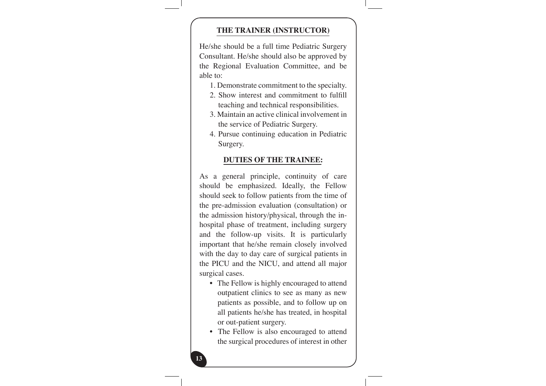#### **THE TRAINER (INSTRUCTOR)**

He/she should be a full time Pediatric Surgery Consultant. He/she should also be approved by the Regional Evaluation Committee, and be able to:

- 1. Demonstrate commitment to the specialty.
- 2. Show interest and commitment to fulfill teaching and technical responsibilities.
- 3. Maintain an active clinical involvement in the service of Pediatric Surgery.
- 4. Pursue continuing education in Pediatric Surgery.

#### **DUTIES OF THE TRAINEE:**

As a general principle, continuity of care should be emphasized. Ideally, the Fellow should seek to follow patients from the time of the pre-admission evaluation (consultation) or hospital phase of treatment, including surgery the admission history/physical, through the inand the follow-up visits. It is particularly important that he/she remain closely involved with the day to day care of surgical patients in the PICU and the NICU, and attend all major surgical cases.

- The Fellow is highly encouraged to attend outpatient clinics to see as many as new patients as possible, and to follow up on all patients he/she has treated, in hospital or out-patient surgery.
- The Fellow is also encouraged to attend the surgical procedures of interest in other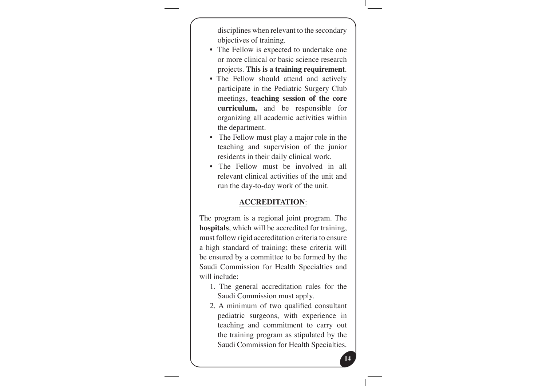disciplines when relevant to the secondary objectives of training.

- The Fellow is expected to undertake one or more clinical or basic science research projects. This is a training requirement.
- The Fellow should attend and actively participate in the Pediatric Surgery Club meetings, teaching session of the core curriculum, and be responsible for organizing all academic activities within the department.
- The Fellow must play a major role in the teaching and supervision of the junior residents in their daily clinical work.
- The Fellow must be involved in all relevant clinical activities of the unit and run the day-to-day work of the unit.

#### :**ACCREDITATION**

The program is a regional joint program. The hospitals, which will be accredited for training, must follow rigid accreditation criteria to ensure a high standard of training; these criteria will be ensured by a committee to be formed by the Saudi Commission for Health Specialties and will include:

- 1. The general accreditation rules for the Saudi Commission must apply.
- 2. A minimum of two qualified consultant pediatric surgeons, with experience in teaching and commitment to carry out the training program as stipulated by the Saudi Commission for Health Specialties.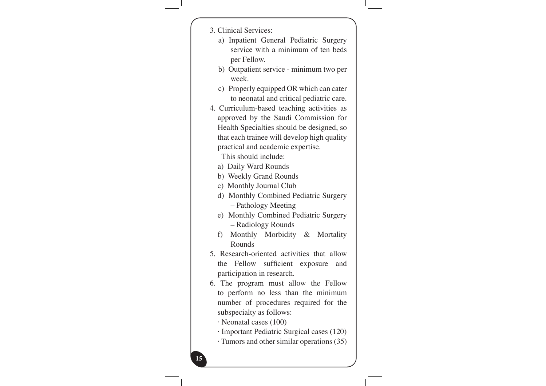| 3. Clinical Services:                       |
|---------------------------------------------|
| a) Inpatient General Pediatric Surgery      |
| service with a minimum of ten beds          |
| per Fellow.                                 |
| b) Outpatient service - minimum two per     |
| week.                                       |
| c) Properly equipped OR which can cater     |
| to neonatal and critical pediatric care.    |
| 4. Curriculum-based teaching activities as  |
| approved by the Saudi Commission for        |
| Health Specialties should be designed, so   |
| that each trainee will develop high quality |
| practical and academic expertise.           |
| This should include:                        |
| a) Daily Ward Rounds                        |
| b) Weekly Grand Rounds                      |
| c) Monthly Journal Club                     |
| d) Monthly Combined Pediatric Surgery       |
| - Pathology Meeting                         |
| e) Monthly Combined Pediatric Surgery       |
| - Radiology Rounds                          |
| f) Monthly Morbidity & Mortality            |
| Rounds                                      |
| 5. Research-oriented activities that allow  |
| the Fellow sufficient exposure<br>and       |
| participation in research.                  |
| 6. The program must allow the Fellow        |
| to perform no less than the minimum         |
| number of procedures required for the       |
| subspecialty as follows:                    |
| $\cdot$ Neonatal cases (100)                |
| · Important Pediatric Surgical cases (120)  |
| · Tumors and other similar operations (35)  |
|                                             |
| 15                                          |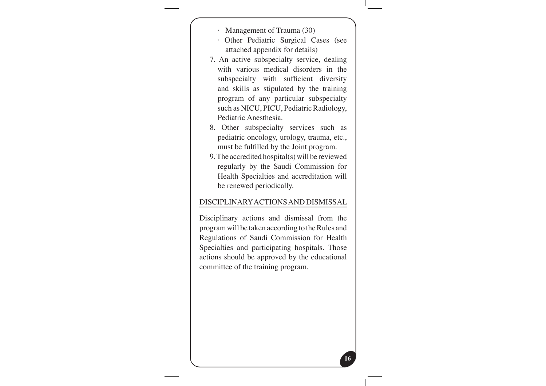- Management of Trauma (30)
- · Other Pediatric Surgical Cases (see attached appendix for details)
- 7. An active subspecialty service, dealing with various medical disorders in the subspecialty with sufficient diversity and skills as stipulated by the training program of any particular subspecialty such as NICU, PICU, Pediatric Radiology, Pediatric Anesthesia.
- 8. Other subspecialty services such as pediatric oncology, urology, trauma, etc., must be fulfilled by the Joint program.
- 9. The accredited hospital(s) will be reviewed regularly by the Saudi Commission for Health Specialties and accreditation will be renewed periodically.

#### DISCIPLINARY ACTIONS AND DISMISSAL

Disciplinary actions and dismissal from the program will be taken according to the Rules and Regulations of Saudi Commission for Health Specialties and participating hospitals. Those actions should be approved by the educational committee of the training program.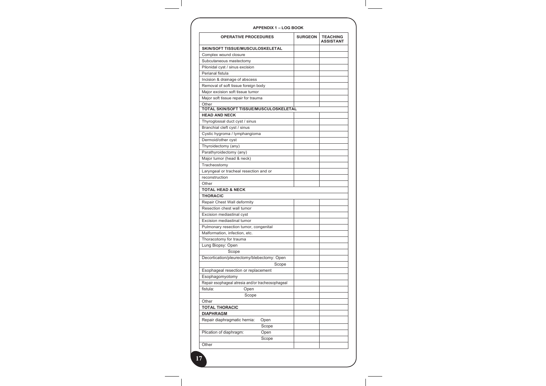| <b>OPERATIVE PROCEDURES</b>                       | <b>SURGEON</b> | <b>TEACHING</b><br><b>ASSISTANT</b> |
|---------------------------------------------------|----------------|-------------------------------------|
| SKIN/SOFT TISSUE/MUSCULOSKELETAL                  |                |                                     |
| Complex wound closure                             |                |                                     |
| Subcutaneous mastectomy                           |                |                                     |
| Pilonidal cyst / sinus excision                   |                |                                     |
| Perianal fistula                                  |                |                                     |
| Incision & drainage of abscess                    |                |                                     |
| Removal of soft tissue foreign body               |                |                                     |
| Major excision soft tissue tumor                  |                |                                     |
| Major soft tissue repair for trauma               |                |                                     |
| Other                                             |                |                                     |
| TOTAL SKIN/SOFT TISSUE/MUSCULOSKELETAL            |                |                                     |
| <b>HEAD AND NECK</b>                              |                |                                     |
| Thyroglossal duct cyst / sinus                    |                |                                     |
| Branchial cleft cyst / sinus                      |                |                                     |
| Cystic hygroma / lymphangioma                     |                |                                     |
| Dermoid/other cyst                                |                |                                     |
| Thyroidectomy (any)                               |                |                                     |
| Parathyroidectomy (any)                           |                |                                     |
| Major tumor (head & neck)                         |                |                                     |
| Tracheostomy                                      |                |                                     |
| Laryngeal or tracheal resection and or            |                |                                     |
| reconstruction                                    |                |                                     |
| Other                                             |                |                                     |
| <b>TOTAL HEAD &amp; NECK</b>                      |                |                                     |
| <b>THORACIC</b>                                   |                |                                     |
| Repair Chest Wall deformity                       |                |                                     |
| Resection chest wall tumor                        |                |                                     |
| Excision mediastinal cyst                         |                |                                     |
| Excision mediastinal tumor                        |                |                                     |
| Pulmonary resection tumor, congenital             |                |                                     |
| Malformation, infection, etc.                     |                |                                     |
| Thoracotomy for trauma                            |                |                                     |
| Lung Biopsy: Open                                 |                |                                     |
| Scope                                             |                |                                     |
| Decortication/pleurectomy/blebectomy: Open        |                |                                     |
| Scope                                             |                |                                     |
| Esophageal resection or replacement               |                |                                     |
| Esophagomyotomy                                   |                |                                     |
| Repair esophageal atresia and/or tracheosophageal |                |                                     |
| fistula:<br>Open                                  |                |                                     |
| Scope                                             |                |                                     |
| Other                                             |                |                                     |
| <b>TOTAL THORACIC</b>                             |                |                                     |
| <b>DIAPHRAGM</b>                                  |                |                                     |
| Repair diaphragmatic hernia:<br>Open              |                |                                     |
| Scope                                             |                |                                     |
| Plication of diaphragm:<br>Open                   |                |                                     |
| Scope                                             |                |                                     |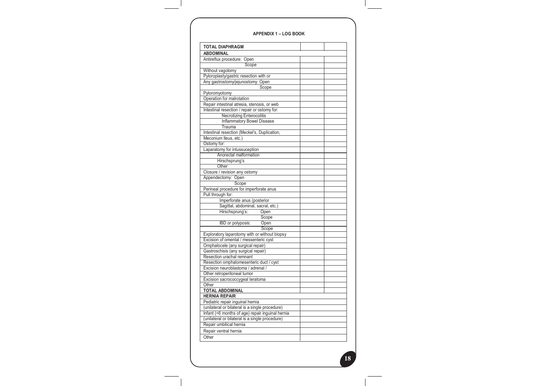#### **BOOK LOG – 1 APPENDIX**

| <b>ABDOMINAL</b>                                 |  |
|--------------------------------------------------|--|
| Antireflux procedure: Open                       |  |
| Scope                                            |  |
| Without vagotomy                                 |  |
| Pyloroplasty/gastric resection with or           |  |
| Any gastrostomy/jejunostomy: Open                |  |
| Scope                                            |  |
| Pyloromyotomy                                    |  |
| Operation for malrotation                        |  |
| Repair intestinal atresia, stenosis, or web      |  |
| Intestinal resection / repair or ostomy for:     |  |
| <b>Necrotizing Enterocolitis</b>                 |  |
| <b>Inflammatory Bowel Disease</b>                |  |
| Trauma                                           |  |
| Intestinal resection (Meckel's, Duplication,     |  |
| Meconium Ileus, etc.)                            |  |
| Ostomy for:                                      |  |
| Laparatomy for intussuception                    |  |
| Anorectal malformation                           |  |
| Hirschsprung's                                   |  |
| Other                                            |  |
| Closure / revision any ostomy                    |  |
| Appendectomy: Open                               |  |
| Scope                                            |  |
| Perineal procedure for imperforate anus          |  |
| Pull through for:                                |  |
| Imperforate anus (posterior                      |  |
| Sagittal, abdominal, sacral, etc.)               |  |
| Hirschsprung's:<br>Open                          |  |
| Scope                                            |  |
| Open<br>IBD or polyposis:                        |  |
| Scope                                            |  |
| Exploratory laparotomy with or without biopsy    |  |
| Excision of omental / messenteric cyst           |  |
| Omphalocele (any surgical repair)                |  |
| Gastroschisis (any surgical repair)              |  |
| Resection urachal remnant                        |  |
| Resection omphalomesenteric duct / cyst          |  |
| Excision neuroblastoma / adrenal /               |  |
| Other retroperitoneal tumor                      |  |
| Excision sacrococcygeal teratoma                 |  |
| Other                                            |  |
| <b>TOTAL ABDOMINAL</b>                           |  |
| <b>HERNIA REPAIR</b>                             |  |
| Pediatric repair inguinal hernia                 |  |
| (unilateral or bilateral is a single procedure)  |  |
| Infant (<6 months of age) repair inquinal hernia |  |
| (unilateral or bilateral is a single procedure)  |  |
| Repair umbilical hernia                          |  |
| Repair ventral hernia                            |  |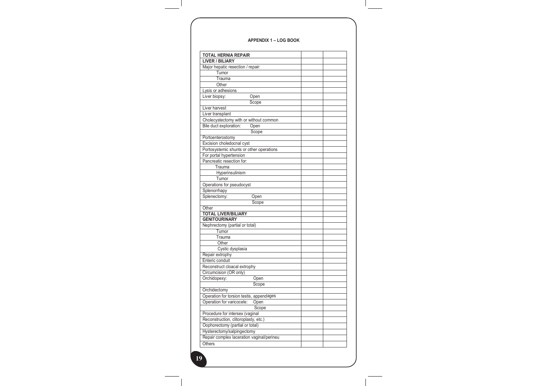#### **APPENDIX 1 - LOG BOOK**

| <b>TOTAL HERNIA REPAIR</b><br><b>LIVER / BILIARY</b> |  |
|------------------------------------------------------|--|
| Major hepatic resection / repair:                    |  |
| Tumor                                                |  |
| Trauma                                               |  |
| Other                                                |  |
| Lysis or adhesions                                   |  |
| Liver biopsy:<br>Open                                |  |
| Scope                                                |  |
| Liver harvest                                        |  |
| Liver transplant                                     |  |
| Cholecystectomy with or without common               |  |
| Bile duct exploration:<br>Open                       |  |
| Scope                                                |  |
| Portoenterostomy                                     |  |
| Excision choledocnal cyst                            |  |
| Portosystemic shunts or other operations             |  |
|                                                      |  |
| For portal hypertension                              |  |
| Pancreatic resection for:                            |  |
| Trauma                                               |  |
| Hyperinsulinism                                      |  |
| Tumor                                                |  |
| Operations for pseudocyst                            |  |
| Splenorrhapy                                         |  |
| Splenectomy:<br>Open                                 |  |
| Scope                                                |  |
| Other                                                |  |
| <b>TOTAL LIVER/BILIARY</b>                           |  |
| <b>GENITOURINARY</b>                                 |  |
| Nephrectomy (partial or total)                       |  |
| Tumor                                                |  |
| Trauma                                               |  |
| Other                                                |  |
| Cystic dysplasia                                     |  |
| Repair extrophy                                      |  |
| Enteric conduit                                      |  |
| Reconstruct cloacal extrophy                         |  |
| Circumcision (OR only)                               |  |
| Orchidopexy:<br>Open                                 |  |
| Scope                                                |  |
| Orchidectomy                                         |  |
| Operation for torsion testis, appendages             |  |
| Operation for varicocele:<br>Open                    |  |
| Scope                                                |  |
| Procedure for intersex (vaginal                      |  |
| Reconstruction, clitoroplasty, etc.)                 |  |
| Oophorectomy (partial or total)                      |  |
| Hysterectomy/salpingectomy                           |  |
| Repair complex laceration vaginal/perineu            |  |
| <b>Others</b>                                        |  |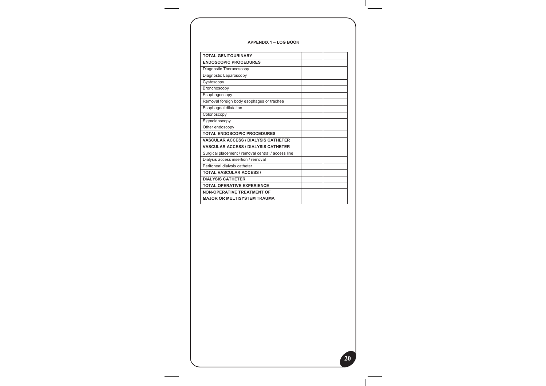#### **BOOK LOG – 1 APPENDIX**

| <b>TOTAL GENITOURINARY</b>                         |  |
|----------------------------------------------------|--|
| <b>ENDOSCOPIC PROCEDURES</b>                       |  |
| Diagnostic Thoracoscopy                            |  |
| Diagnostic Laparoscopy                             |  |
| Cystoscopy                                         |  |
| Bronchoscopy                                       |  |
| Esophagoscopy                                      |  |
| Removal foreign body esophagus or trachea          |  |
| Esophageal dilatation                              |  |
| Colonoscopy                                        |  |
| Sigmoidoscopy                                      |  |
| Other endoscopy                                    |  |
| <b>TOTAL ENDOSCOPIC PROCEDURES</b>                 |  |
| <b>VASCULAR ACCESS / DIALYSIS CATHETER</b>         |  |
| <b>VASCULAR ACCESS / DIALYSIS CATHETER</b>         |  |
| Surgical placement / removal central / access line |  |
| Dialysis access insertion / removal                |  |
| Peritoneal dialysis catheter                       |  |
| <b>TOTAL VASCULAR ACCESS /</b>                     |  |
| <b>DIALYSIS CATHETER</b>                           |  |
| TOTAL OPERATIVE EXPERIENCE                         |  |
| <b>NON-OPERATIVE TREATMENT OF</b>                  |  |
| <b>MAJOR OR MULTISYSTEM TRAUMA</b>                 |  |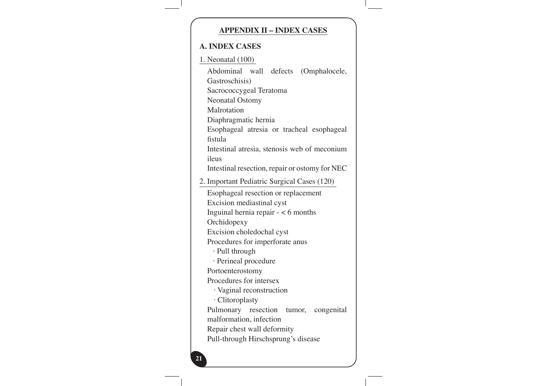#### **APPENDIX II - INDEX CASES**

#### **A. INDEX CASES**

1. Neonatal (100) Abdominal wall defects (Omphalocele, (Gastroschisis Sacrococcygeal Teratoma Neonatal Ostomy Malrotation Diaphragmatic hernia Esophageal atresia or tracheal esophageal fistula Intestinal atresia, stenosis web of meconium ileus Intestinal resection, repair or ostomy for NEC 2. Important Pediatric Surgical Cases (120) Esophageal resection or replacement Excision mediastinal cyst Inguinal hernia repair  $- < 6$  months **Orchidopexy** Excision choledochal cyst Procedures for imperforate anus  $\cdot$  Pull through · Perineal procedure Portoenterostomy Procedures for intersex  $\cdot$  Vaginal reconstruction Clitoroplasty· Pulmonary resection tumor, congenital malformation, infection Repair chest wall deformity Pull-through Hirschsprung's disease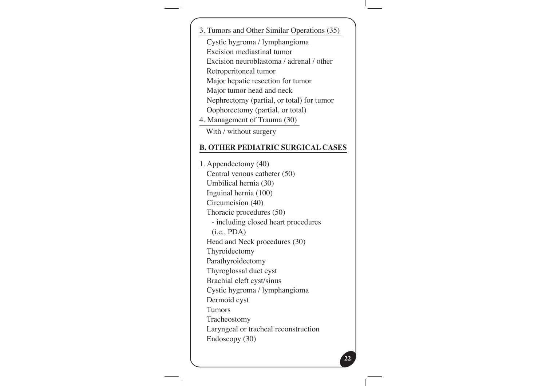3. Tumors and Other Similar Operations (35)

Cystic hygroma / lymphangioma

Excision mediastinal tumor

Excision neuroblastoma / adrenal / other

Retroperitoneal tumor

Major hepatic resection for tumor

Major tumor head and neck

Nephrectomy (partial, or total) for tumor

Oophorectomy (partial, or total)

4. Management of Trauma (30)

With / without surgery

### **B. OTHER PEDIATRIC SURGICAL CASES**

1. Appendectomy (40) Central venous catheter  $(50)$ Umbilical hernia (30) Inguinal hernia  $(100)$ Circumcision (40) Thoracic procedures (50) - including closed heart procedures  $(i.e., PDA)$ Head and Neck procedures (30) Thyroidectomy Parathyroidectomy Thyroglossal duct cyst Brachial cleft cyst/sinus Cystic hygroma / lymphangioma Dermoid cyst Tumors Tracheostomy Laryngeal or tracheal reconstruction Endoscopy (30)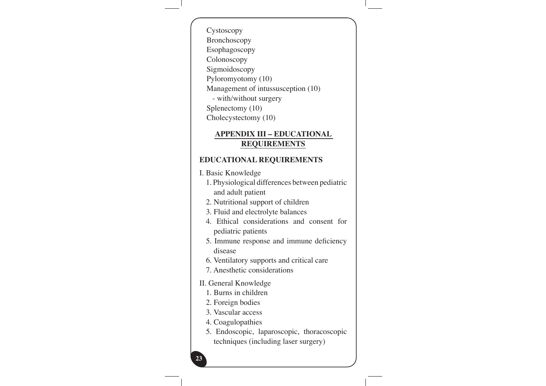Cystoscopy Bronchoscopy Esophagoscopy Colonoscopy Sigmoidoscopy Pyloromyotomy (10) Management of intussusception (10) - with/without surgery Splenectomy (10)

Cholecystectomy (10)

#### **APPENDIX III - EDUCATIONAL REQUIREMENTS**

#### **REQUIREMENTS EDUCATIONAL**

I. Basic Knowledge

1. Physiological differences between pediatric and adult patient

2. Nutritional support of children

3. Fluid and electrolyte balances

4. Ethical considerations and consent for pediatric patients

5. Immune response and immune deficiency disease

6. Ventilatory supports and critical care

7. Anesthetic considerations

#### II. General Knowledge

1. Burns in children

2. Foreign bodies

3. Vascular access

4. Coagulopathies

5. Endoscopic, laparoscopic, thoracoscopic techniques (including laser surgery)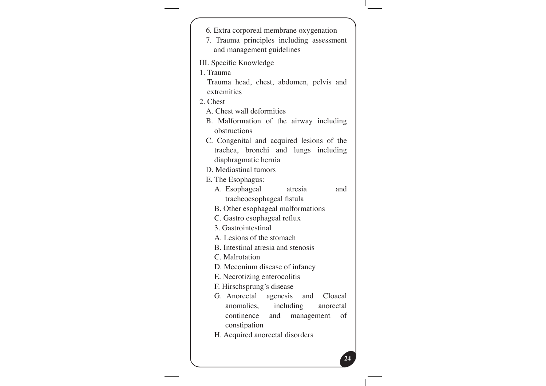| 6. Extra corporeal membrane oxygenation                          |  |
|------------------------------------------------------------------|--|
| 7. Trauma principles including assessment                        |  |
| and management guidelines                                        |  |
|                                                                  |  |
| III. Specific Knowledge<br>1. Trauma                             |  |
| Trauma head, chest, abdomen, pelvis and                          |  |
| extremities                                                      |  |
| 2. Chest                                                         |  |
| A. Chest wall deformities                                        |  |
| B. Malformation of the airway including                          |  |
| obstructions                                                     |  |
| C. Congenital and acquired lesions of the                        |  |
| trachea, bronchi and lungs including                             |  |
| diaphragmatic hernia                                             |  |
| D. Mediastinal tumors                                            |  |
| E. The Esophagus:                                                |  |
| A. Esophageal<br>atresia<br>and                                  |  |
| tracheoesophageal fistula                                        |  |
| B. Other esophageal malformations<br>C. Gastro esophageal reflux |  |
| 3. Gastrointestinal                                              |  |
| A. Lesions of the stomach                                        |  |
| B. Intestinal atresia and stenosis                               |  |
| C. Malrotation                                                   |  |
| D. Meconium disease of infancy                                   |  |
| E. Necrotizing enterocolitis                                     |  |
| F. Hirschsprung's disease                                        |  |
| G. Anorectal<br>agenesis and Cloacal                             |  |
| anomalies, including anorectal                                   |  |
| continence<br>and management<br>οf                               |  |
| constipation                                                     |  |
| H. Acquired anorectal disorders                                  |  |
|                                                                  |  |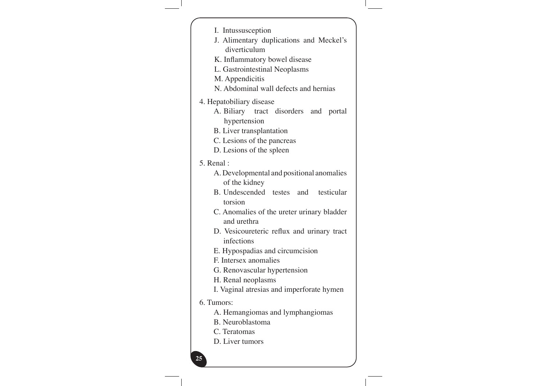| I. Intussusception<br>J. Alimentary duplications and Meckel's<br>diverticulum<br>K. Inflammatory bowel disease<br>L. Gastrointestinal Neoplasms<br>M. Appendicitis<br>N. Abdominal wall defects and hernias                                                                                                                                                                                           |
|-------------------------------------------------------------------------------------------------------------------------------------------------------------------------------------------------------------------------------------------------------------------------------------------------------------------------------------------------------------------------------------------------------|
| 4. Hepatobiliary disease<br>A. Biliary tract disorders and portal<br>hypertension<br>B. Liver transplantation<br>C. Lesions of the pancreas<br>D. Lesions of the spleen                                                                                                                                                                                                                               |
| 5. Renal:                                                                                                                                                                                                                                                                                                                                                                                             |
| A. Developmental and positional anomalies<br>of the kidney<br>B. Undescended testes and testicular<br>torsion<br>C. Anomalies of the ureter urinary bladder<br>and urethra<br>D. Vesicoureteric reflux and urinary tract<br>infections<br>E. Hypospadias and circumcision<br>F. Intersex anomalies<br>G. Renovascular hypertension<br>H. Renal neoplasms<br>I. Vaginal atresias and imperforate hymen |
| 6. Tumors:                                                                                                                                                                                                                                                                                                                                                                                            |
| A. Hemangiomas and lymphangiomas<br>B. Neuroblastoma<br>C. Teratomas<br>D. Liver tumors                                                                                                                                                                                                                                                                                                               |
| 25                                                                                                                                                                                                                                                                                                                                                                                                    |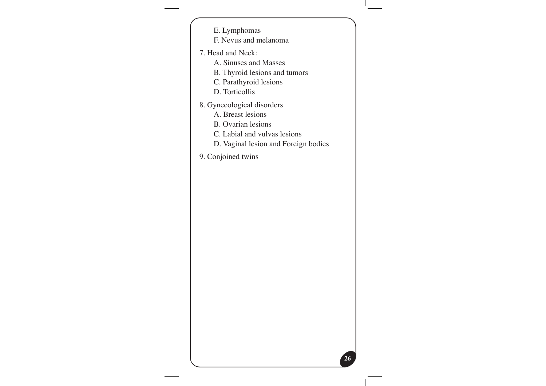- E. Lymphomas
- F. Nevus and melanoma
- 7. Head and Neck:
	- A. Sinuses and Masses
	- B. Thyroid lesions and tumors
	- C. Parathyroid lesions
	- D. Torticollis
- 8. Gynecological disorders
	- A. Breast lesions
	- B. Ovarian lesions
	- C. Labial and vulvas lesions
	- D. Vaginal lesion and Foreign bodies

**26**

9. Conjoined twins